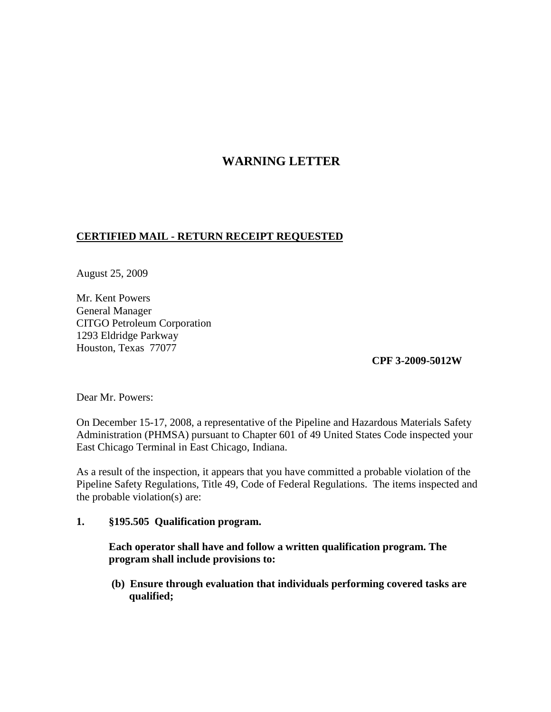## **WARNING LETTER**

## **CERTIFIED MAIL - RETURN RECEIPT REQUESTED**

August 25, 2009

Mr. Kent Powers General Manager CITGO Petroleum Corporation 1293 Eldridge Parkway Houston, Texas 77077

**CPF 3-2009-5012W**

Dear Mr. Powers:

On December 15-17, 2008, a representative of the Pipeline and Hazardous Materials Safety Administration (PHMSA) pursuant to Chapter 601 of 49 United States Code inspected your East Chicago Terminal in East Chicago, Indiana.

As a result of the inspection, it appears that you have committed a probable violation of the Pipeline Safety Regulations, Title 49, Code of Federal Regulations. The items inspected and the probable violation(s) are:

**1. §195.505 Qualification program.**

**Each operator shall have and follow a written qualification program. The program shall include provisions to:**

**(b) Ensure through evaluation that individuals performing covered tasks are qualified;**